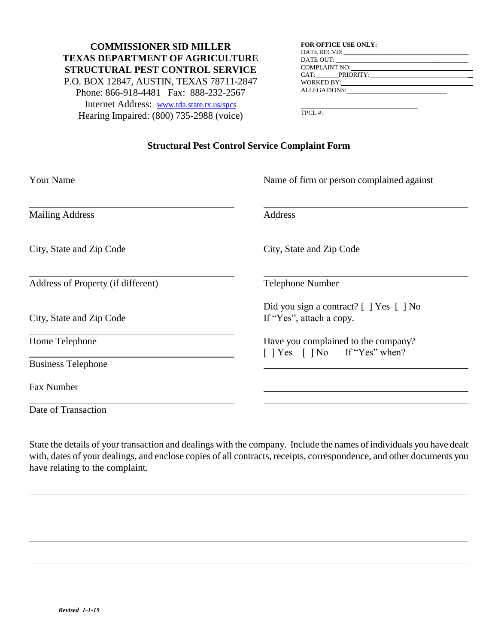## **COMMISSIONER SID MILLER TEXAS DEPARTMENT OF AGRICULTURE STRUCTURAL PEST CONTROL SERVICE**  P.O. BOX 12847, AUSTIN, TEXAS 78711-2847 Phone: 866-918-4481 Fax: 888-232-2567 Internet Address: [www.tda.state.tx.us/spcs](http://www.tda.state.tx.us/spcs) Hearing Impaired: (800) 735-2988 (voice)

| <b>FOR OFFICE USE ONLY:</b>                                                                                                                                                                                                    |  |
|--------------------------------------------------------------------------------------------------------------------------------------------------------------------------------------------------------------------------------|--|
| DATE RECVD: Note and the contract of the contract of the contract of the contract of the contract of the contract of the contract of the contract of the contract of the contract of the contract of the contract of the contr |  |
|                                                                                                                                                                                                                                |  |
| COMPLAINT NO: COMPLAINT NO COMPLAINT NO                                                                                                                                                                                        |  |
| CAT: PRIORITY:                                                                                                                                                                                                                 |  |
| WORKED BY:                                                                                                                                                                                                                     |  |
| ALLEGATIONS:                                                                                                                                                                                                                   |  |
|                                                                                                                                                                                                                                |  |

TPCL #:

## **Structural Pest Control Service Complaint Form**

| <b>Your Name</b>                   | Name of firm or person complained against                                |  |
|------------------------------------|--------------------------------------------------------------------------|--|
| <b>Mailing Address</b>             | Address                                                                  |  |
| City, State and Zip Code           | City, State and Zip Code                                                 |  |
| Address of Property (if different) | <b>Telephone Number</b>                                                  |  |
| City, State and Zip Code           | Did you sign a contract? [ ] Yes [ ] No<br>If "Yes", attach a copy.      |  |
| Home Telephone                     | Have you complained to the company?<br>$[$   Yes $[$   No If "Yes" when? |  |
| <b>Business Telephone</b>          |                                                                          |  |
| Fax Number                         |                                                                          |  |
| Date of Transaction                |                                                                          |  |

State the details of your transaction and dealings with the company. Include the names of individuals you have dealt with, dates of your dealings, and enclose copies of all contracts, receipts, correspondence, and other documents you have relating to the complaint.